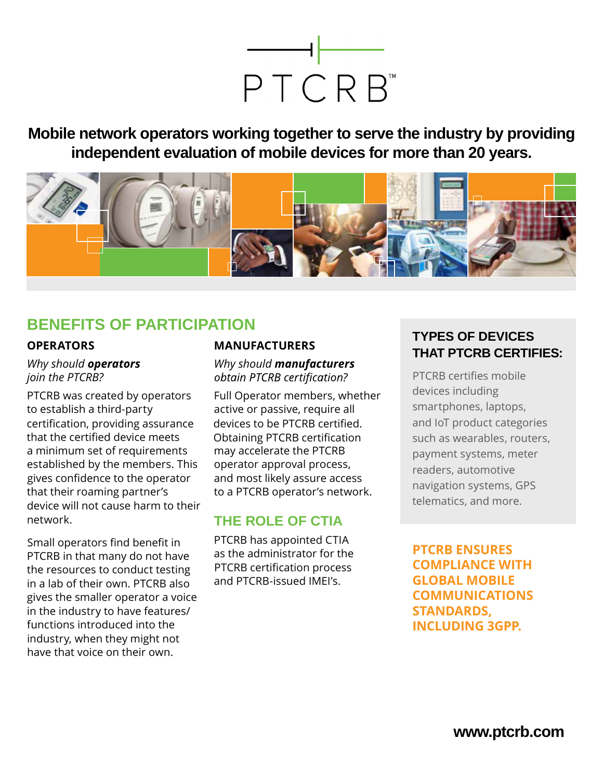

**Mobile network operators working together to serve the industry by providing independent evaluation of mobile devices for more than 20 years.**



## **BENEFITS OF PARTICIPATION**

### **OPERATORS**

*Why should operators join the PTCRB?*

PTCRB was created by operators to establish a third-party a minimum set of requirements established by the members. This that their roaming partner's device will not cause harm to their network. certification, providing assurance that the certified device meets gives confidence to the operator

PTCRB in that many do not have the resources to conduct testing in a lab of their own. PTCRB also gives the smaller operator a voice in the industry to have features/ functions introduced into the industry, when they might not have that voice on their own. Small operators find benefit in

### **MANUFACTURERS**

*Why should manufacturers* obtain PTCRB certification?

Full Operator members, whether active or passive, require all may accelerate the PTCRB operator approval process, and most likely assure access to a PTCRB operator's network. devices to be PTCRB certified. Obtaining PTCRB certification

### **THE ROLE OF CTIA**

PTCRB has appointed CTIA as the administrator for the and PTCRB-issued IMEI's. PTCRB certification process

### **TYPES OF DEVICES THAT PTCRB CERTIFIES:**

devices including smartphones, laptops, and IoT product categories such as wearables, routers, payment systems, meter readers, automotive navigation systems, GPS telematics, and more. PTCRB certifies mobile

**PTCRB ENSURES COMPLIANCE WITH GLOBAL MOBILE COMMUNICATIONS STANDARDS, INCLUDING 3GPP.**